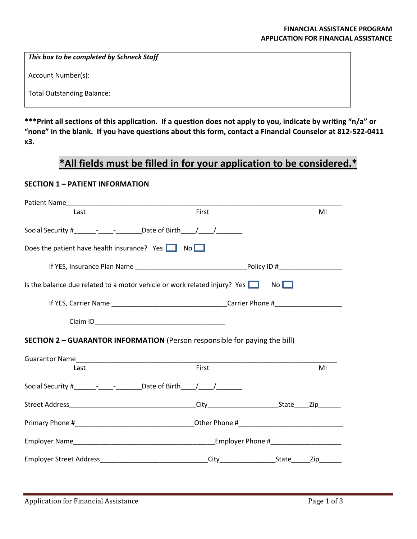*This box to be completed by Schneck Staff*

Account Number(s):

Total Outstanding Balance:

**\*\*\*Print all sections of this application. If a question does not apply to you, indicate by writing "n/a" or "none" in the blank. If you have questions about this form, contact a Financial Counselor at 812-522-0411 x3.**

## **\*All fields must be filled in for your application to be considered.\***

## **SECTION 1 – PATIENT INFORMATION**

| Last                                                                              | First |             | MI |  |
|-----------------------------------------------------------------------------------|-------|-------------|----|--|
| Social Security # $\qquad  \qquad$ Date of Birth $\qquad /$                       |       |             |    |  |
| Does the patient have health insurance? Yes $\Box$ No $\Box$                      |       |             |    |  |
|                                                                                   |       |             |    |  |
| Is the balance due related to a motor vehicle or work related injury? Yes         |       | $No$ $\Box$ |    |  |
|                                                                                   |       |             |    |  |
|                                                                                   |       |             |    |  |
| <b>SECTION 2 - GUARANTOR INFORMATION</b> (Person responsible for paying the bill) |       |             |    |  |
|                                                                                   |       |             |    |  |
| Last                                                                              | First |             | MI |  |
| Social Security #____________________________Date of Birth_____/_____/__________  |       |             |    |  |
|                                                                                   |       |             |    |  |
|                                                                                   |       |             |    |  |
|                                                                                   |       |             |    |  |
| Employer Street Address <b>Employer Street Address City</b> City State <b>Cip</b> |       |             |    |  |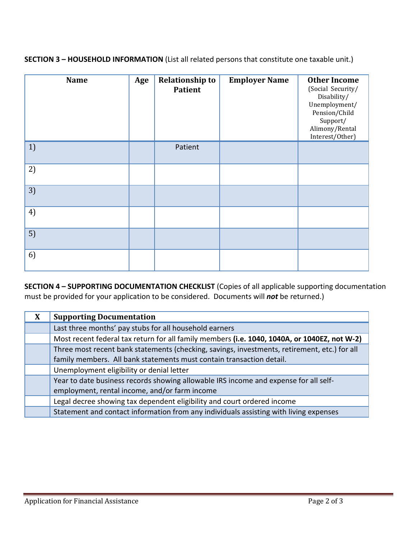**SECTION 3 – HOUSEHOLD INFORMATION** (List all related persons that constitute one taxable unit.)

| <b>Name</b> | Age | <b>Relationship to</b><br><b>Patient</b> | <b>Employer Name</b> | <b>Other Income</b><br>(Social Security/<br>Disability/<br>Unemployment/<br>Pension/Child<br>Support/<br>Alimony/Rental<br>Interest/Other) |
|-------------|-----|------------------------------------------|----------------------|--------------------------------------------------------------------------------------------------------------------------------------------|
| 1)          |     | Patient                                  |                      |                                                                                                                                            |
| 2)          |     |                                          |                      |                                                                                                                                            |
| 3)          |     |                                          |                      |                                                                                                                                            |
| 4)          |     |                                          |                      |                                                                                                                                            |
| 5)          |     |                                          |                      |                                                                                                                                            |
| 6)          |     |                                          |                      |                                                                                                                                            |

**SECTION 4 – SUPPORTING DOCUMENTATION CHECKLIST** (Copies of all applicable supporting documentation must be provided for your application to be considered. Documents will *not* be returned.)

| X | <b>Supporting Documentation</b>                                                              |
|---|----------------------------------------------------------------------------------------------|
|   | Last three months' pay stubs for all household earners                                       |
|   | Most recent federal tax return for all family members (i.e. 1040, 1040A, or 1040EZ, not W-2) |
|   | Three most recent bank statements (checking, savings, investments, retirement, etc.) for all |
|   | family members. All bank statements must contain transaction detail.                         |
|   | Unemployment eligibility or denial letter                                                    |
|   | Year to date business records showing allowable IRS income and expense for all self-         |
|   | employment, rental income, and/or farm income                                                |
|   | Legal decree showing tax dependent eligibility and court ordered income                      |
|   | Statement and contact information from any individuals assisting with living expenses        |